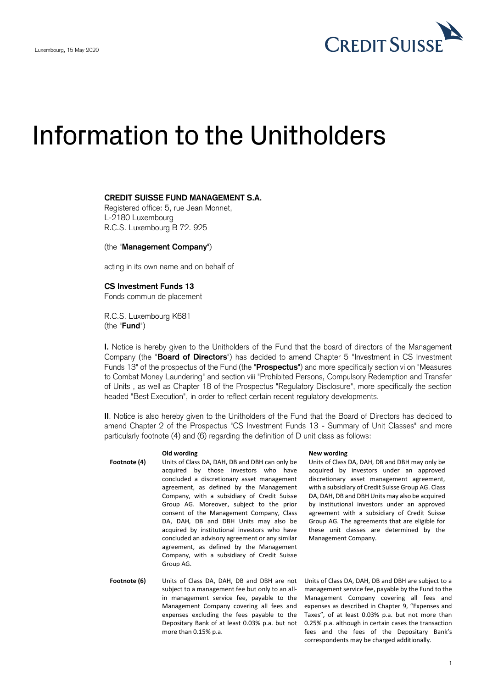

# Information to the Unitholders

## **CREDIT SUISSE FUND MANAGEMENT S.A.**

Registered office: 5, rue Jean Monnet, L-2180 Luxembourg R.C.S. Luxembourg B 72. 925

(the "**Management Company**")

acting in its own name and on behalf of

# **CS Investment Funds 13**

Fonds commun de placement

R.C.S. Luxembourg K681 (the "**Fund**")

**I.** Notice is hereby given to the Unitholders of the Fund that the board of directors of the Management Company (the "**Board of Directors**") has decided to amend Chapter 5 "Investment in CS Investment Funds 13" of the prospectus of the Fund (the "**Prospectus**") and more specifically section vi on "Measures to Combat Money Laundering" and section viii "Prohibited Persons, Compulsory Redemption and Transfer of Units", as well as Chapter 18 of the Prospectus "Regulatory Disclosure", more specifically the section headed "Best Execution", in order to reflect certain recent regulatory developments.

**II**. Notice is also hereby given to the Unitholders of the Fund that the Board of Directors has decided to amend Chapter 2 of the Prospectus "CS Investment Funds 13 - Summary of Unit Classes" and more particularly footnote (4) and (6) regarding the definition of D unit class as follows:

- **Footnote (4)** Units of Class DA, DAH, DB and DBH can only be acquired by those investors who have concluded a discretionary asset management agreement, as defined by the Management Company, with a subsidiary of Credit Suisse Group AG. Moreover, subject to the prior consent of the Management Company, Class DA, DAH, DB and DBH Units may also be acquired by institutional investors who have concluded an advisory agreement or any similar agreement, as defined by the Management Company, with a subsidiary of Credit Suisse Group AG.
- **Footnote (6)** Units of Class DA, DAH, DB and DBH are not subject to a management fee but only to an allin management service fee, payable to the Management Company covering all fees and expenses excluding the fees payable to the Depositary Bank of at least 0.03% p.a. but not more than 0.15% p.a.

### **Old wording New wording**

Units of Class DA, DAH, DB and DBH may only be acquired by investors under an approved discretionary asset management agreement, with a subsidiary of Credit Suisse Group AG. Class DA, DAH, DB and DBH Units may also be acquired by institutional investors under an approved agreement with a subsidiary of Credit Suisse Group AG. The agreements that are eligible for these unit classes are determined by the Management Company.

Units of Class DA, DAH, DB and DBH are subject to a management service fee, payable by the Fund to the Management Company covering all fees and expenses as described in Chapter 9, "Expenses and Taxes", of at least 0.03% p.a. but not more than 0.25% p.a. although in certain cases the transaction fees and the fees of the Depositary Bank's correspondents may be charged additionally.